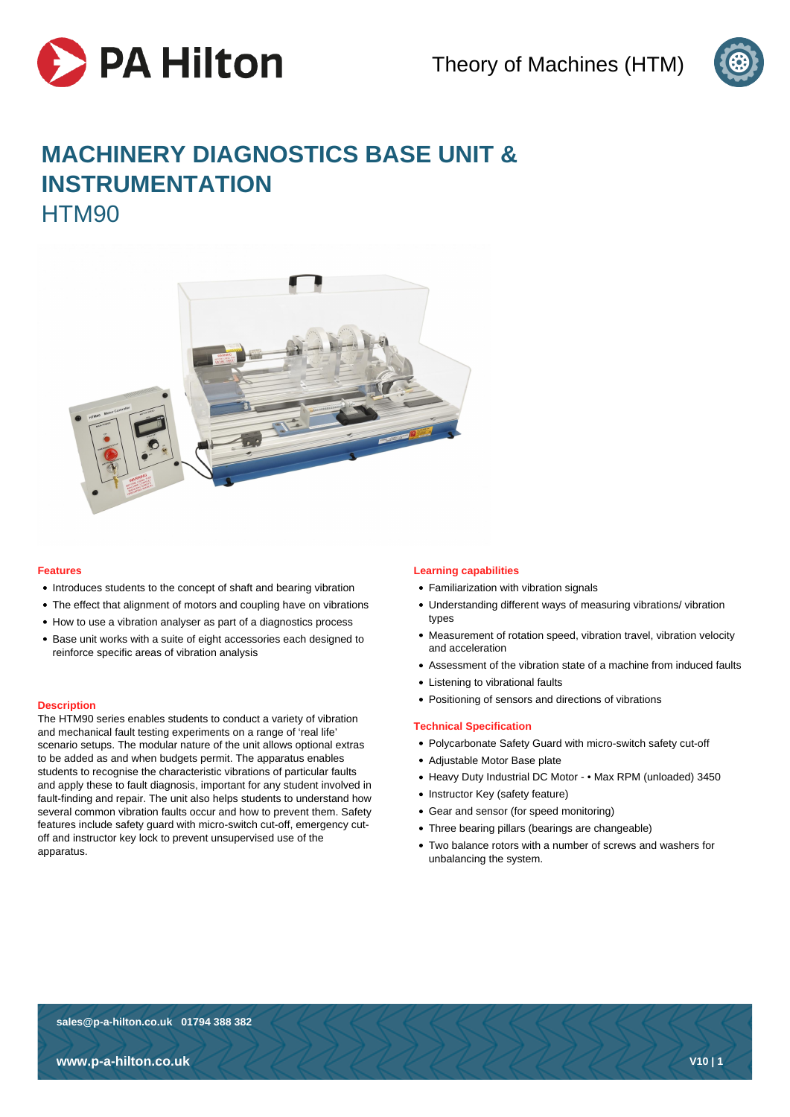



# **MACHINERY DIAGNOSTICS BASE UNIT & INSTRUMENTATION** HTM90



# **Features**

- Introduces students to the concept of shaft and bearing vibration
- The effect that alignment of motors and coupling have on vibrations
- How to use a vibration analyser as part of a diagnostics process
- Base unit works with a suite of eight accessories each designed to reinforce specific areas of vibration analysis

# **Description**

The HTM90 series enables students to conduct a variety of vibration and mechanical fault testing experiments on a range of 'real life' scenario setups. The modular nature of the unit allows optional extras to be added as and when budgets permit. The apparatus enables students to recognise the characteristic vibrations of particular faults and apply these to fault diagnosis, important for any student involved in fault-finding and repair. The unit also helps students to understand how several common vibration faults occur and how to prevent them. Safety features include safety guard with micro-switch cut-off, emergency cutoff and instructor key lock to prevent unsupervised use of the apparatus.

# **Learning capabilities**

- Familiarization with vibration signals
- Understanding different ways of measuring vibrations/ vibration types
- Measurement of rotation speed, vibration travel, vibration velocity and acceleration
- Assessment of the vibration state of a machine from induced faults
- Listening to vibrational faults
- Positioning of sensors and directions of vibrations

#### **Technical Specification**

- Polycarbonate Safety Guard with micro-switch safety cut-off
- Adjustable Motor Base plate
- Heavy Duty Industrial DC Motor • Max RPM (unloaded) 3450
- Instructor Key (safety feature)
- Gear and sensor (for speed monitoring)
- Three bearing pillars (bearings are changeable)
- Two balance rotors with a number of screws and washers for unbalancing the system.